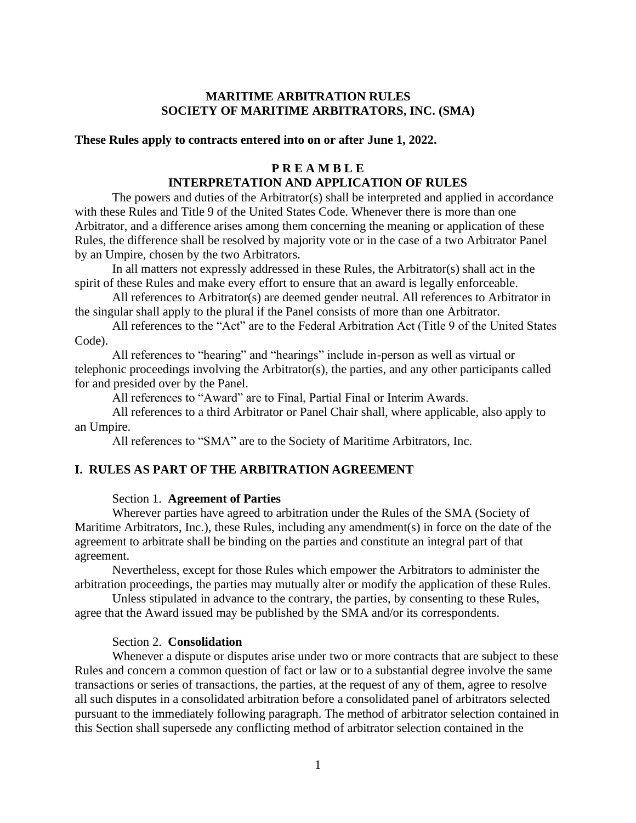# **MARITIME ARBITRATION RULES SOCIETY OF MARITIME ARBITRATORS, INC. (SMA)**

## **These Rules apply to contracts entered into on or after June 1, 2022.**

# **P R E A M B L E INTERPRETATION AND APPLICATION OF RULES**

The powers and duties of the Arbitrator(s) shall be interpreted and applied in accordance with these Rules and Title 9 of the United States Code. Whenever there is more than one Arbitrator, and a difference arises among them concerning the meaning or application of these Rules, the difference shall be resolved by majority vote or in the case of a two Arbitrator Panel by an Umpire, chosen by the two Arbitrators.

In all matters not expressly addressed in these Rules, the Arbitrator(s) shall act in the spirit of these Rules and make every effort to ensure that an award is legally enforceable.

All references to Arbitrator(s) are deemed gender neutral. All references to Arbitrator in the singular shall apply to the plural if the Panel consists of more than one Arbitrator.

All references to the "Act" are to the Federal Arbitration Act (Title 9 of the United States Code).

All references to "hearing" and "hearings" include in-person as well as virtual or telephonic proceedings involving the Arbitrator(s), the parties, and any other participants called for and presided over by the Panel.

All references to "Award" are to Final, Partial Final or Interim Awards.

All references to a third Arbitrator or Panel Chair shall, where applicable, also apply to an Umpire.

All references to "SMA" are to the Society of Maritime Arbitrators, Inc.

# **I. RULES AS PART OF THE ARBITRATION AGREEMENT**

# Section 1. **Agreement of Parties**

Wherever parties have agreed to arbitration under the Rules of the SMA (Society of Maritime Arbitrators, Inc.), these Rules, including any amendment(s) in force on the date of the agreement to arbitrate shall be binding on the parties and constitute an integral part of that agreement.

Nevertheless, except for those Rules which empower the Arbitrators to administer the arbitration proceedings, the parties may mutually alter or modify the application of these Rules.

Unless stipulated in advance to the contrary, the parties, by consenting to these Rules, agree that the Award issued may be published by the SMA and/or its correspondents.

# Section 2. **Consolidation**

Whenever a dispute or disputes arise under two or more contracts that are subject to these Rules and concern a common question of fact or law or to a substantial degree involve the same transactions or series of transactions, the parties, at the request of any of them, agree to resolve all such disputes in a consolidated arbitration before a consolidated panel of arbitrators selected pursuant to the immediately following paragraph. The method of arbitrator selection contained in this Section shall supersede any conflicting method of arbitrator selection contained in the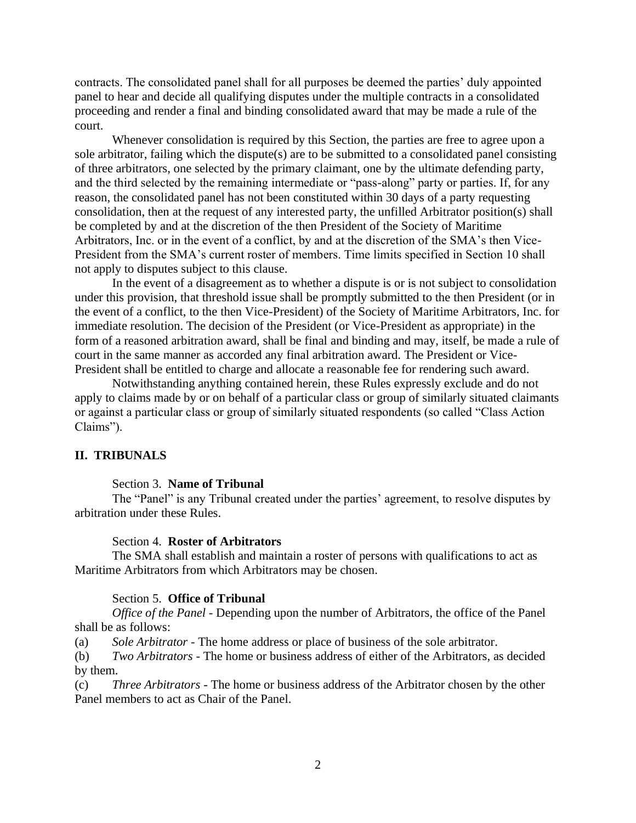contracts. The consolidated panel shall for all purposes be deemed the parties' duly appointed panel to hear and decide all qualifying disputes under the multiple contracts in a consolidated proceeding and render a final and binding consolidated award that may be made a rule of the court.

Whenever consolidation is required by this Section, the parties are free to agree upon a sole arbitrator, failing which the dispute(s) are to be submitted to a consolidated panel consisting of three arbitrators, one selected by the primary claimant, one by the ultimate defending party, and the third selected by the remaining intermediate or "pass-along" party or parties. If, for any reason, the consolidated panel has not been constituted within 30 days of a party requesting consolidation, then at the request of any interested party, the unfilled Arbitrator position(s) shall be completed by and at the discretion of the then President of the Society of Maritime Arbitrators, Inc. or in the event of a conflict, by and at the discretion of the SMA's then Vice-President from the SMA's current roster of members. Time limits specified in Section 10 shall not apply to disputes subject to this clause.

In the event of a disagreement as to whether a dispute is or is not subject to consolidation under this provision, that threshold issue shall be promptly submitted to the then President (or in the event of a conflict, to the then Vice-President) of the Society of Maritime Arbitrators, Inc. for immediate resolution. The decision of the President (or Vice-President as appropriate) in the form of a reasoned arbitration award, shall be final and binding and may, itself, be made a rule of court in the same manner as accorded any final arbitration award. The President or Vice-President shall be entitled to charge and allocate a reasonable fee for rendering such award.

Notwithstanding anything contained herein, these Rules expressly exclude and do not apply to claims made by or on behalf of a particular class or group of similarly situated claimants or against a particular class or group of similarly situated respondents (so called "Class Action Claims").

### **II. TRIBUNALS**

### Section 3. **Name of Tribunal**

The "Panel" is any Tribunal created under the parties' agreement, to resolve disputes by arbitration under these Rules.

#### Section 4. **Roster of Arbitrators**

The SMA shall establish and maintain a roster of persons with qualifications to act as Maritime Arbitrators from which Arbitrators may be chosen.

#### Section 5. **Office of Tribunal**

*Office of the Panel* - Depending upon the number of Arbitrators, the office of the Panel shall be as follows:

(a) *Sole Arbitrator* - The home address or place of business of the sole arbitrator.

(b) *Two Arbitrators* - The home or business address of either of the Arbitrators, as decided by them.

(c) *Three Arbitrators* - The home or business address of the Arbitrator chosen by the other Panel members to act as Chair of the Panel.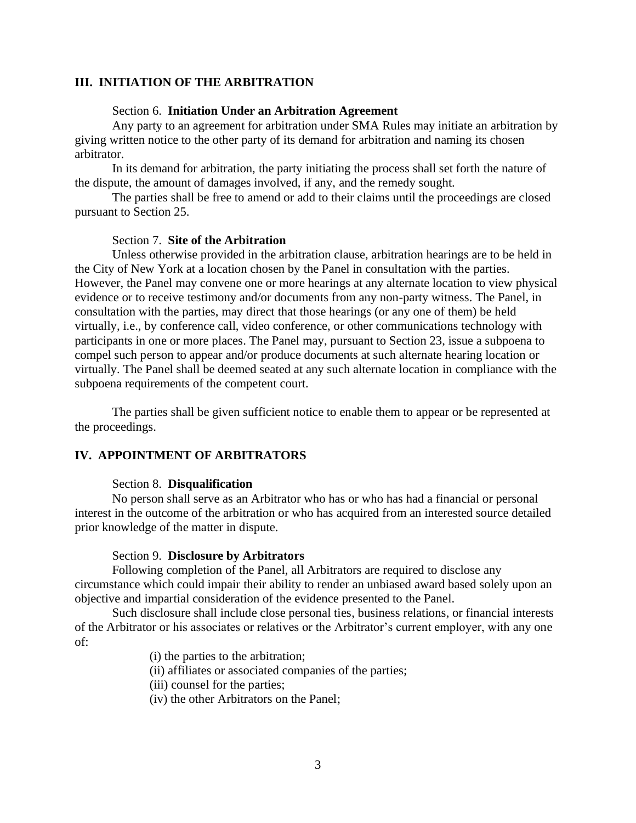## **III. INITIATION OF THE ARBITRATION**

## Section 6. **Initiation Under an Arbitration Agreement**

Any party to an agreement for arbitration under SMA Rules may initiate an arbitration by giving written notice to the other party of its demand for arbitration and naming its chosen arbitrator.

In its demand for arbitration, the party initiating the process shall set forth the nature of the dispute, the amount of damages involved, if any, and the remedy sought.

The parties shall be free to amend or add to their claims until the proceedings are closed pursuant to Section 25.

### Section 7. **Site of the Arbitration**

Unless otherwise provided in the arbitration clause, arbitration hearings are to be held in the City of New York at a location chosen by the Panel in consultation with the parties. However, the Panel may convene one or more hearings at any alternate location to view physical evidence or to receive testimony and/or documents from any non-party witness. The Panel, in consultation with the parties, may direct that those hearings (or any one of them) be held virtually, i.e., by conference call, video conference, or other communications technology with participants in one or more places. The Panel may, pursuant to Section 23, issue a subpoena to compel such person to appear and/or produce documents at such alternate hearing location or virtually. The Panel shall be deemed seated at any such alternate location in compliance with the subpoena requirements of the competent court.

The parties shall be given sufficient notice to enable them to appear or be represented at the proceedings.

### **IV. APPOINTMENT OF ARBITRATORS**

#### Section 8. **Disqualification**

No person shall serve as an Arbitrator who has or who has had a financial or personal interest in the outcome of the arbitration or who has acquired from an interested source detailed prior knowledge of the matter in dispute.

#### Section 9. **Disclosure by Arbitrators**

Following completion of the Panel, all Arbitrators are required to disclose any circumstance which could impair their ability to render an unbiased award based solely upon an objective and impartial consideration of the evidence presented to the Panel.

Such disclosure shall include close personal ties, business relations, or financial interests of the Arbitrator or his associates or relatives or the Arbitrator's current employer, with any one of:

(i) the parties to the arbitration;

(ii) affiliates or associated companies of the parties;

- (iii) counsel for the parties;
- (iv) the other Arbitrators on the Panel;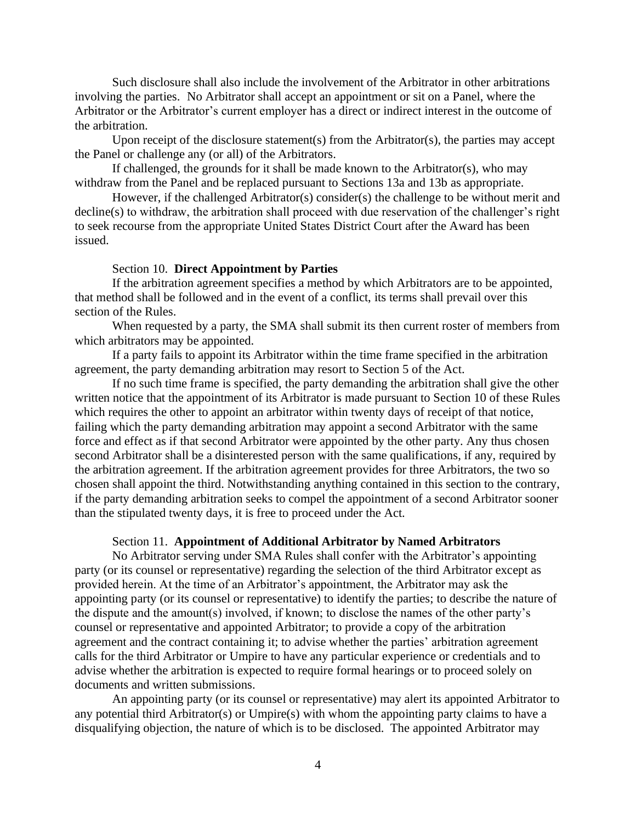Such disclosure shall also include the involvement of the Arbitrator in other arbitrations involving the parties. No Arbitrator shall accept an appointment or sit on a Panel, where the Arbitrator or the Arbitrator's current employer has a direct or indirect interest in the outcome of the arbitration.

Upon receipt of the disclosure statement(s) from the Arbitrator(s), the parties may accept the Panel or challenge any (or all) of the Arbitrators.

If challenged, the grounds for it shall be made known to the Arbitrator(s), who may withdraw from the Panel and be replaced pursuant to Sections 13a and 13b as appropriate.

However, if the challenged Arbitrator(s) consider(s) the challenge to be without merit and decline(s) to withdraw, the arbitration shall proceed with due reservation of the challenger's right to seek recourse from the appropriate United States District Court after the Award has been issued.

### Section 10. **Direct Appointment by Parties**

If the arbitration agreement specifies a method by which Arbitrators are to be appointed, that method shall be followed and in the event of a conflict, its terms shall prevail over this section of the Rules.

When requested by a party, the SMA shall submit its then current roster of members from which arbitrators may be appointed.

If a party fails to appoint its Arbitrator within the time frame specified in the arbitration agreement, the party demanding arbitration may resort to Section 5 of the Act.

If no such time frame is specified, the party demanding the arbitration shall give the other written notice that the appointment of its Arbitrator is made pursuant to Section 10 of these Rules which requires the other to appoint an arbitrator within twenty days of receipt of that notice, failing which the party demanding arbitration may appoint a second Arbitrator with the same force and effect as if that second Arbitrator were appointed by the other party. Any thus chosen second Arbitrator shall be a disinterested person with the same qualifications, if any, required by the arbitration agreement. If the arbitration agreement provides for three Arbitrators, the two so chosen shall appoint the third. Notwithstanding anything contained in this section to the contrary, if the party demanding arbitration seeks to compel the appointment of a second Arbitrator sooner than the stipulated twenty days, it is free to proceed under the Act.

### Section 11. **Appointment of Additional Arbitrator by Named Arbitrators**

No Arbitrator serving under SMA Rules shall confer with the Arbitrator's appointing party (or its counsel or representative) regarding the selection of the third Arbitrator except as provided herein. At the time of an Arbitrator's appointment, the Arbitrator may ask the appointing party (or its counsel or representative) to identify the parties; to describe the nature of the dispute and the amount(s) involved, if known; to disclose the names of the other party's counsel or representative and appointed Arbitrator; to provide a copy of the arbitration agreement and the contract containing it; to advise whether the parties' arbitration agreement calls for the third Arbitrator or Umpire to have any particular experience or credentials and to advise whether the arbitration is expected to require formal hearings or to proceed solely on documents and written submissions.

An appointing party (or its counsel or representative) may alert its appointed Arbitrator to any potential third Arbitrator(s) or Umpire(s) with whom the appointing party claims to have a disqualifying objection, the nature of which is to be disclosed. The appointed Arbitrator may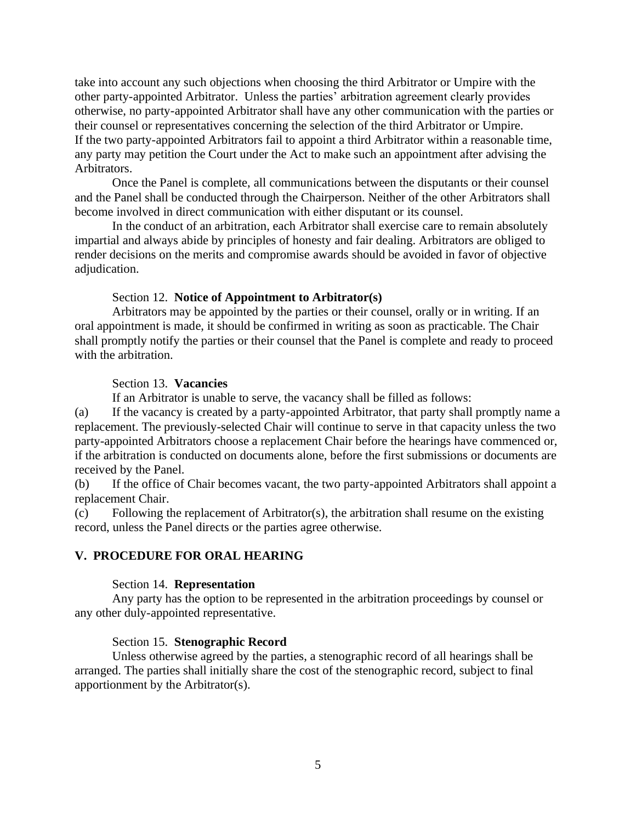take into account any such objections when choosing the third Arbitrator or Umpire with the other party-appointed Arbitrator. Unless the parties' arbitration agreement clearly provides otherwise, no party-appointed Arbitrator shall have any other communication with the parties or their counsel or representatives concerning the selection of the third Arbitrator or Umpire. If the two party-appointed Arbitrators fail to appoint a third Arbitrator within a reasonable time, any party may petition the Court under the Act to make such an appointment after advising the Arbitrators.

Once the Panel is complete, all communications between the disputants or their counsel and the Panel shall be conducted through the Chairperson. Neither of the other Arbitrators shall become involved in direct communication with either disputant or its counsel.

In the conduct of an arbitration, each Arbitrator shall exercise care to remain absolutely impartial and always abide by principles of honesty and fair dealing. Arbitrators are obliged to render decisions on the merits and compromise awards should be avoided in favor of objective adjudication.

### Section 12. **Notice of Appointment to Arbitrator(s)**

Arbitrators may be appointed by the parties or their counsel, orally or in writing. If an oral appointment is made, it should be confirmed in writing as soon as practicable. The Chair shall promptly notify the parties or their counsel that the Panel is complete and ready to proceed with the arbitration.

## Section 13. **Vacancies**

If an Arbitrator is unable to serve, the vacancy shall be filled as follows:

(a) If the vacancy is created by a party-appointed Arbitrator, that party shall promptly name a replacement. The previously-selected Chair will continue to serve in that capacity unless the two party-appointed Arbitrators choose a replacement Chair before the hearings have commenced or, if the arbitration is conducted on documents alone, before the first submissions or documents are received by the Panel.

(b) If the office of Chair becomes vacant, the two party-appointed Arbitrators shall appoint a replacement Chair.

(c) Following the replacement of Arbitrator(s), the arbitration shall resume on the existing record, unless the Panel directs or the parties agree otherwise.

### **V. PROCEDURE FOR ORAL HEARING**

#### Section 14. **Representation**

Any party has the option to be represented in the arbitration proceedings by counsel or any other duly-appointed representative.

#### Section 15. **Stenographic Record**

Unless otherwise agreed by the parties, a stenographic record of all hearings shall be arranged. The parties shall initially share the cost of the stenographic record, subject to final apportionment by the Arbitrator(s).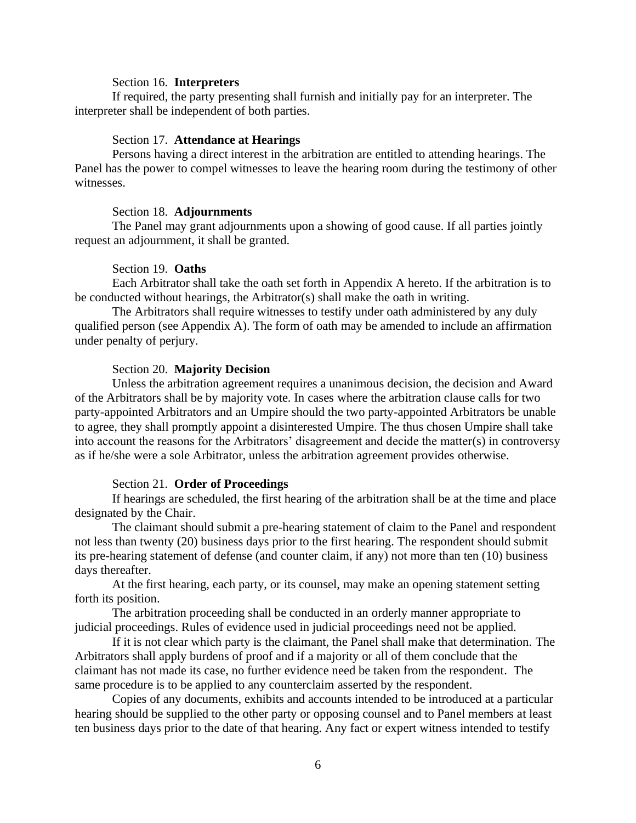### Section 16. **Interpreters**

If required, the party presenting shall furnish and initially pay for an interpreter. The interpreter shall be independent of both parties.

#### Section 17. **Attendance at Hearings**

Persons having a direct interest in the arbitration are entitled to attending hearings. The Panel has the power to compel witnesses to leave the hearing room during the testimony of other witnesses.

### Section 18. **Adjournments**

The Panel may grant adjournments upon a showing of good cause. If all parties jointly request an adjournment, it shall be granted.

#### Section 19. **Oaths**

Each Arbitrator shall take the oath set forth in Appendix A hereto. If the arbitration is to be conducted without hearings, the Arbitrator(s) shall make the oath in writing.

The Arbitrators shall require witnesses to testify under oath administered by any duly qualified person (see Appendix A). The form of oath may be amended to include an affirmation under penalty of perjury.

#### Section 20. **Majority Decision**

Unless the arbitration agreement requires a unanimous decision, the decision and Award of the Arbitrators shall be by majority vote. In cases where the arbitration clause calls for two party-appointed Arbitrators and an Umpire should the two party-appointed Arbitrators be unable to agree, they shall promptly appoint a disinterested Umpire. The thus chosen Umpire shall take into account the reasons for the Arbitrators' disagreement and decide the matter(s) in controversy as if he/she were a sole Arbitrator, unless the arbitration agreement provides otherwise.

#### Section 21. **Order of Proceedings**

If hearings are scheduled, the first hearing of the arbitration shall be at the time and place designated by the Chair.

The claimant should submit a pre-hearing statement of claim to the Panel and respondent not less than twenty (20) business days prior to the first hearing. The respondent should submit its pre-hearing statement of defense (and counter claim, if any) not more than ten (10) business days thereafter.

At the first hearing, each party, or its counsel, may make an opening statement setting forth its position.

The arbitration proceeding shall be conducted in an orderly manner appropriate to judicial proceedings. Rules of evidence used in judicial proceedings need not be applied.

If it is not clear which party is the claimant, the Panel shall make that determination. The Arbitrators shall apply burdens of proof and if a majority or all of them conclude that the claimant has not made its case, no further evidence need be taken from the respondent. The same procedure is to be applied to any counterclaim asserted by the respondent.

Copies of any documents, exhibits and accounts intended to be introduced at a particular hearing should be supplied to the other party or opposing counsel and to Panel members at least ten business days prior to the date of that hearing. Any fact or expert witness intended to testify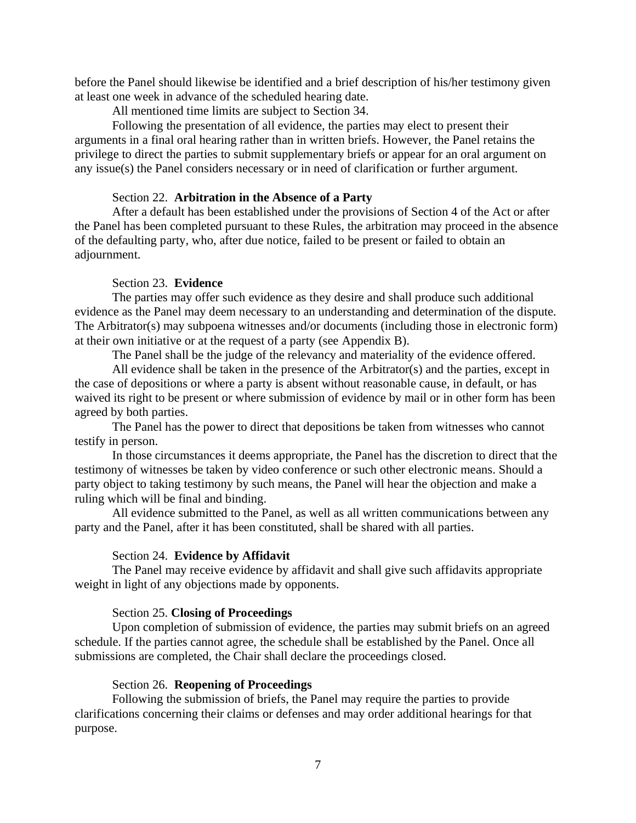before the Panel should likewise be identified and a brief description of his/her testimony given at least one week in advance of the scheduled hearing date.

All mentioned time limits are subject to Section 34.

Following the presentation of all evidence, the parties may elect to present their arguments in a final oral hearing rather than in written briefs. However, the Panel retains the privilege to direct the parties to submit supplementary briefs or appear for an oral argument on any issue(s) the Panel considers necessary or in need of clarification or further argument.

#### Section 22. **Arbitration in the Absence of a Party**

After a default has been established under the provisions of Section 4 of the Act or after the Panel has been completed pursuant to these Rules, the arbitration may proceed in the absence of the defaulting party, who, after due notice, failed to be present or failed to obtain an adjournment.

### Section 23. **Evidence**

The parties may offer such evidence as they desire and shall produce such additional evidence as the Panel may deem necessary to an understanding and determination of the dispute. The Arbitrator(s) may subpoena witnesses and/or documents (including those in electronic form) at their own initiative or at the request of a party (see Appendix B).

The Panel shall be the judge of the relevancy and materiality of the evidence offered.

All evidence shall be taken in the presence of the Arbitrator(s) and the parties, except in the case of depositions or where a party is absent without reasonable cause, in default, or has waived its right to be present or where submission of evidence by mail or in other form has been agreed by both parties.

The Panel has the power to direct that depositions be taken from witnesses who cannot testify in person.

In those circumstances it deems appropriate, the Panel has the discretion to direct that the testimony of witnesses be taken by video conference or such other electronic means. Should a party object to taking testimony by such means, the Panel will hear the objection and make a ruling which will be final and binding.

All evidence submitted to the Panel, as well as all written communications between any party and the Panel, after it has been constituted, shall be shared with all parties.

#### Section 24. **Evidence by Affidavit**

The Panel may receive evidence by affidavit and shall give such affidavits appropriate weight in light of any objections made by opponents.

#### Section 25. **Closing of Proceedings**

Upon completion of submission of evidence, the parties may submit briefs on an agreed schedule. If the parties cannot agree, the schedule shall be established by the Panel. Once all submissions are completed, the Chair shall declare the proceedings closed.

#### Section 26. **Reopening of Proceedings**

Following the submission of briefs, the Panel may require the parties to provide clarifications concerning their claims or defenses and may order additional hearings for that purpose.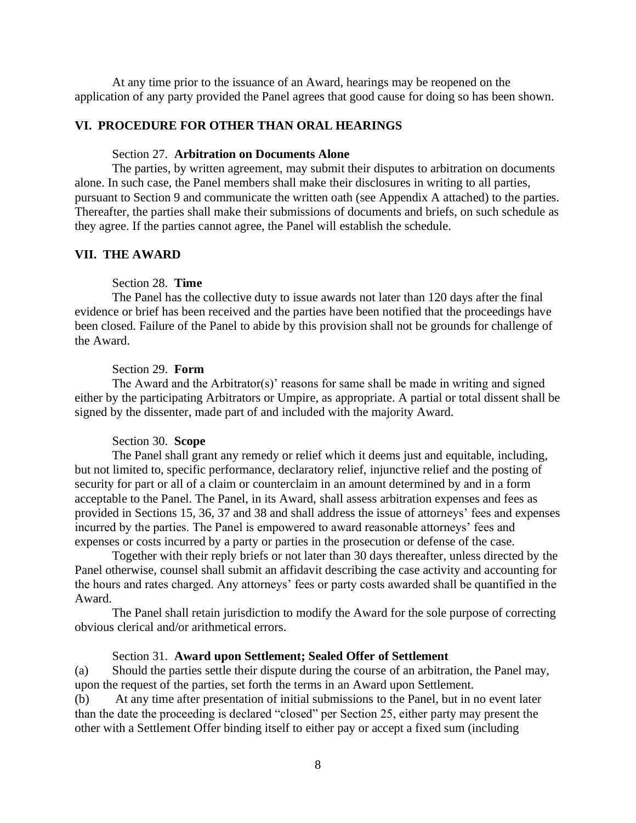At any time prior to the issuance of an Award, hearings may be reopened on the application of any party provided the Panel agrees that good cause for doing so has been shown.

# **VI. PROCEDURE FOR OTHER THAN ORAL HEARINGS**

## Section 27. **Arbitration on Documents Alone**

The parties, by written agreement, may submit their disputes to arbitration on documents alone. In such case, the Panel members shall make their disclosures in writing to all parties, pursuant to Section 9 and communicate the written oath (see Appendix A attached) to the parties. Thereafter, the parties shall make their submissions of documents and briefs, on such schedule as they agree. If the parties cannot agree, the Panel will establish the schedule.

## **VII. THE AWARD**

### Section 28. **Time**

The Panel has the collective duty to issue awards not later than 120 days after the final evidence or brief has been received and the parties have been notified that the proceedings have been closed. Failure of the Panel to abide by this provision shall not be grounds for challenge of the Award.

### Section 29. **Form**

The Award and the Arbitrator(s)' reasons for same shall be made in writing and signed either by the participating Arbitrators or Umpire, as appropriate. A partial or total dissent shall be signed by the dissenter, made part of and included with the majority Award.

### Section 30. **Scope**

The Panel shall grant any remedy or relief which it deems just and equitable, including, but not limited to, specific performance, declaratory relief, injunctive relief and the posting of security for part or all of a claim or counterclaim in an amount determined by and in a form acceptable to the Panel. The Panel, in its Award, shall assess arbitration expenses and fees as provided in Sections 15, 36, 37 and 38 and shall address the issue of attorneys' fees and expenses incurred by the parties. The Panel is empowered to award reasonable attorneys' fees and expenses or costs incurred by a party or parties in the prosecution or defense of the case.

Together with their reply briefs or not later than 30 days thereafter, unless directed by the Panel otherwise, counsel shall submit an affidavit describing the case activity and accounting for the hours and rates charged. Any attorneys' fees or party costs awarded shall be quantified in the Award.

The Panel shall retain jurisdiction to modify the Award for the sole purpose of correcting obvious clerical and/or arithmetical errors.

#### Section 31. **Award upon Settlement; Sealed Offer of Settlement**

(a) Should the parties settle their dispute during the course of an arbitration, the Panel may, upon the request of the parties, set forth the terms in an Award upon Settlement.

(b) At any time after presentation of initial submissions to the Panel, but in no event later than the date the proceeding is declared "closed" per Section 25, either party may present the other with a Settlement Offer binding itself to either pay or accept a fixed sum (including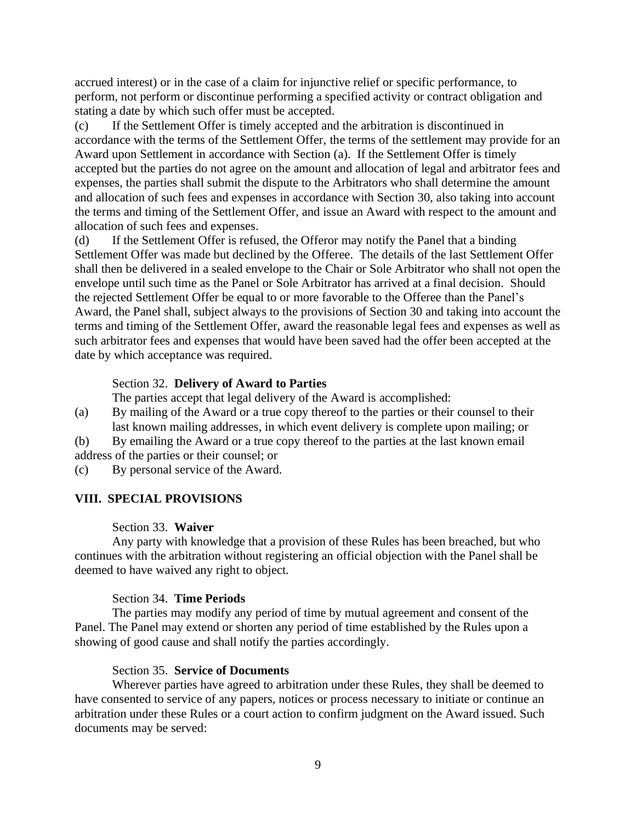accrued interest) or in the case of a claim for injunctive relief or specific performance, to perform, not perform or discontinue performing a specified activity or contract obligation and stating a date by which such offer must be accepted.

(c) If the Settlement Offer is timely accepted and the arbitration is discontinued in accordance with the terms of the Settlement Offer, the terms of the settlement may provide for an Award upon Settlement in accordance with Section (a). If the Settlement Offer is timely accepted but the parties do not agree on the amount and allocation of legal and arbitrator fees and expenses, the parties shall submit the dispute to the Arbitrators who shall determine the amount and allocation of such fees and expenses in accordance with Section 30, also taking into account the terms and timing of the Settlement Offer, and issue an Award with respect to the amount and allocation of such fees and expenses.

(d) If the Settlement Offer is refused, the Offeror may notify the Panel that a binding Settlement Offer was made but declined by the Offeree. The details of the last Settlement Offer shall then be delivered in a sealed envelope to the Chair or Sole Arbitrator who shall not open the envelope until such time as the Panel or Sole Arbitrator has arrived at a final decision. Should the rejected Settlement Offer be equal to or more favorable to the Offeree than the Panel's Award, the Panel shall, subject always to the provisions of Section 30 and taking into account the terms and timing of the Settlement Offer, award the reasonable legal fees and expenses as well as such arbitrator fees and expenses that would have been saved had the offer been accepted at the date by which acceptance was required.

# Section 32. **Delivery of Award to Parties**

The parties accept that legal delivery of the Award is accomplished:

(a) By mailing of the Award or a true copy thereof to the parties or their counsel to their last known mailing addresses, in which event delivery is complete upon mailing; or

(b) By emailing the Award or a true copy thereof to the parties at the last known email address of the parties or their counsel; or

(c) By personal service of the Award.

# **VIII. SPECIAL PROVISIONS**

# Section 33. **Waiver**

Any party with knowledge that a provision of these Rules has been breached, but who continues with the arbitration without registering an official objection with the Panel shall be deemed to have waived any right to object.

# Section 34. **Time Periods**

The parties may modify any period of time by mutual agreement and consent of the Panel. The Panel may extend or shorten any period of time established by the Rules upon a showing of good cause and shall notify the parties accordingly.

### Section 35. **Service of Documents**

Wherever parties have agreed to arbitration under these Rules, they shall be deemed to have consented to service of any papers, notices or process necessary to initiate or continue an arbitration under these Rules or a court action to confirm judgment on the Award issued. Such documents may be served: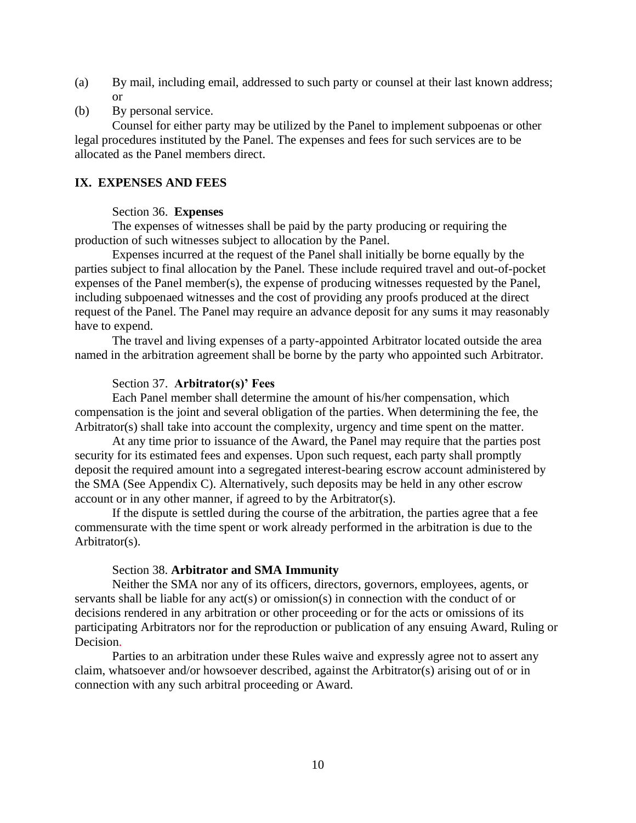- (a) By mail, including email, addressed to such party or counsel at their last known address; or
- (b) By personal service.

Counsel for either party may be utilized by the Panel to implement subpoenas or other legal procedures instituted by the Panel. The expenses and fees for such services are to be allocated as the Panel members direct.

# **IX. EXPENSES AND FEES**

### Section 36. **Expenses**

The expenses of witnesses shall be paid by the party producing or requiring the production of such witnesses subject to allocation by the Panel.

Expenses incurred at the request of the Panel shall initially be borne equally by the parties subject to final allocation by the Panel. These include required travel and out-of-pocket expenses of the Panel member(s), the expense of producing witnesses requested by the Panel, including subpoenaed witnesses and the cost of providing any proofs produced at the direct request of the Panel. The Panel may require an advance deposit for any sums it may reasonably have to expend.

The travel and living expenses of a party-appointed Arbitrator located outside the area named in the arbitration agreement shall be borne by the party who appointed such Arbitrator.

### Section 37. **Arbitrator(s)' Fees**

Each Panel member shall determine the amount of his/her compensation, which compensation is the joint and several obligation of the parties. When determining the fee, the Arbitrator(s) shall take into account the complexity, urgency and time spent on the matter.

At any time prior to issuance of the Award, the Panel may require that the parties post security for its estimated fees and expenses. Upon such request, each party shall promptly deposit the required amount into a segregated interest-bearing escrow account administered by the SMA (See Appendix C). Alternatively, such deposits may be held in any other escrow account or in any other manner, if agreed to by the Arbitrator(s).

If the dispute is settled during the course of the arbitration, the parties agree that a fee commensurate with the time spent or work already performed in the arbitration is due to the Arbitrator(s).

#### Section 38. **Arbitrator and SMA Immunity**

Neither the SMA nor any of its officers, directors, governors, employees, agents, or servants shall be liable for any act(s) or omission(s) in connection with the conduct of or decisions rendered in any arbitration or other proceeding or for the acts or omissions of its participating Arbitrators nor for the reproduction or publication of any ensuing Award, Ruling or Decision.

Parties to an arbitration under these Rules waive and expressly agree not to assert any claim, whatsoever and/or howsoever described, against the Arbitrator(s) arising out of or in connection with any such arbitral proceeding or Award.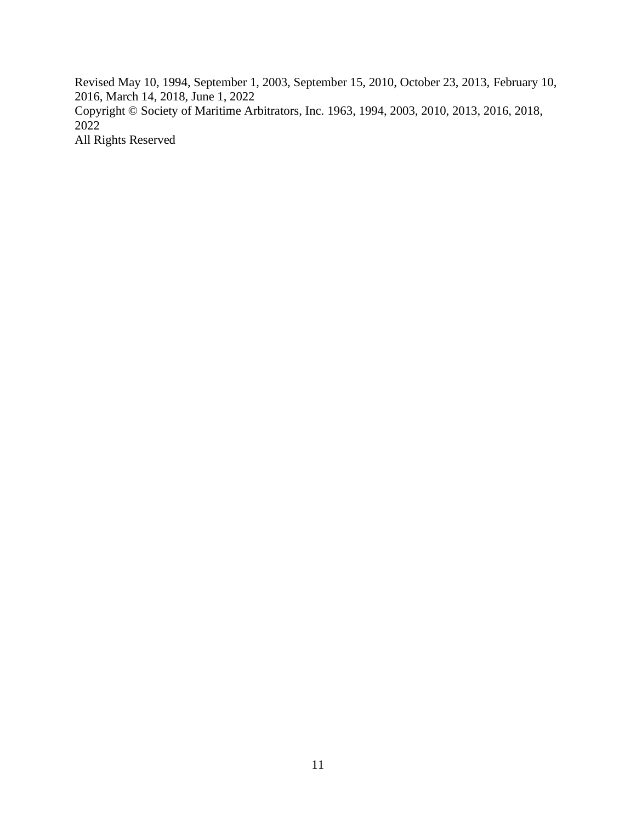Revised May 10, 1994, September 1, 2003, September 15, 2010, October 23, 2013, February 10, 2016, March 14, 2018, June 1, 2022 Copyright © Society of Maritime Arbitrators, Inc. 1963, 1994, 2003, 2010, 2013, 2016, 2018, 2022

All Rights Reserved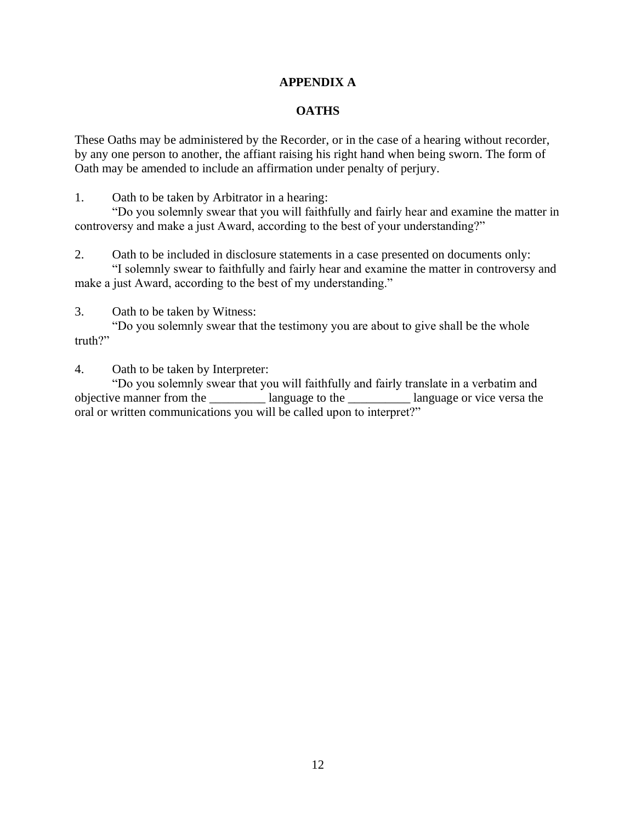# **APPENDIX A**

# **OATHS**

These Oaths may be administered by the Recorder, or in the case of a hearing without recorder, by any one person to another, the affiant raising his right hand when being sworn. The form of Oath may be amended to include an affirmation under penalty of perjury.

1. Oath to be taken by Arbitrator in a hearing:

"Do you solemnly swear that you will faithfully and fairly hear and examine the matter in controversy and make a just Award, according to the best of your understanding?"

2. Oath to be included in disclosure statements in a case presented on documents only: "I solemnly swear to faithfully and fairly hear and examine the matter in controversy and make a just Award, according to the best of my understanding."

3. Oath to be taken by Witness:

"Do you solemnly swear that the testimony you are about to give shall be the whole truth?"

4. Oath to be taken by Interpreter:

"Do you solemnly swear that you will faithfully and fairly translate in a verbatim and objective manner from the \_\_\_\_\_\_\_\_\_ language to the \_\_\_\_\_\_\_\_\_\_ language or vice versa the oral or written communications you will be called upon to interpret?"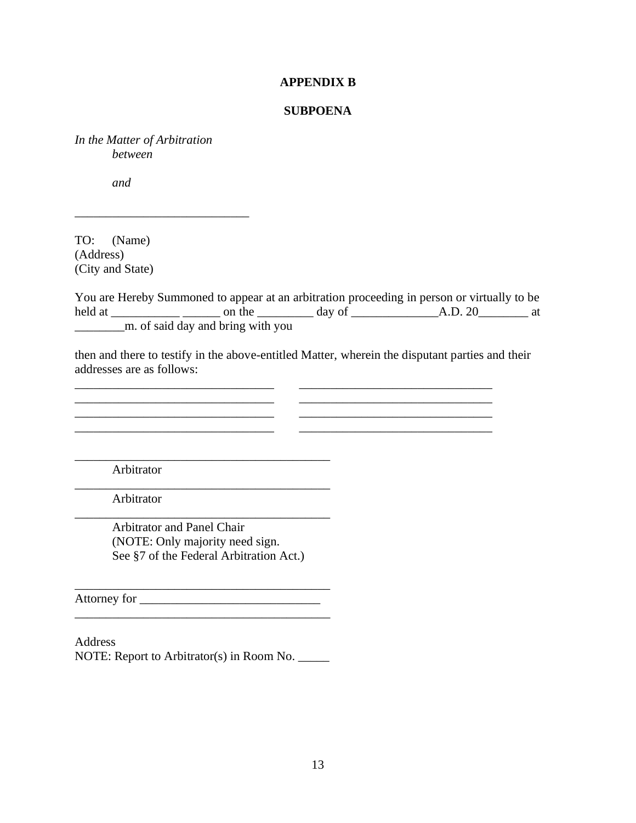## **APPENDIX B**

## **SUBPOENA**

*In the Matter of Arbitration between*

\_\_\_\_\_\_\_\_\_\_\_\_\_\_\_\_\_\_\_\_\_\_\_\_\_\_\_\_

*and*

TO: (Name) (Address) (City and State)

You are Hereby Summoned to appear at an arbitration proceeding in person or virtually to be held at \_\_\_\_\_\_\_\_\_\_\_ \_\_\_\_\_\_ on the \_\_\_\_\_\_\_\_\_ day of \_\_\_\_\_\_\_\_\_\_\_\_\_\_A.D. 20\_\_\_\_\_\_\_\_ at \_\_\_\_\_\_\_\_m. of said day and bring with you

then and there to testify in the above-entitled Matter, wherein the disputant parties and their addresses are as follows:

\_\_\_\_\_\_\_\_\_\_\_\_\_\_\_\_\_\_\_\_\_\_\_\_\_\_\_\_\_\_\_\_ \_\_\_\_\_\_\_\_\_\_\_\_\_\_\_\_\_\_\_\_\_\_\_\_\_\_\_\_\_\_\_ \_\_\_\_\_\_\_\_\_\_\_\_\_\_\_\_\_\_\_\_\_\_\_\_\_\_\_\_\_\_\_\_ \_\_\_\_\_\_\_\_\_\_\_\_\_\_\_\_\_\_\_\_\_\_\_\_\_\_\_\_\_\_\_ \_\_\_\_\_\_\_\_\_\_\_\_\_\_\_\_\_\_\_\_\_\_\_\_\_\_\_\_\_\_\_\_ \_\_\_\_\_\_\_\_\_\_\_\_\_\_\_\_\_\_\_\_\_\_\_\_\_\_\_\_\_\_\_

 $\frac{1}{2}$  ,  $\frac{1}{2}$  ,  $\frac{1}{2}$  ,  $\frac{1}{2}$  ,  $\frac{1}{2}$  ,  $\frac{1}{2}$  ,  $\frac{1}{2}$  ,  $\frac{1}{2}$  ,  $\frac{1}{2}$  ,  $\frac{1}{2}$  ,  $\frac{1}{2}$  ,  $\frac{1}{2}$  ,  $\frac{1}{2}$  ,  $\frac{1}{2}$  ,  $\frac{1}{2}$  ,  $\frac{1}{2}$  ,  $\frac{1}{2}$  ,  $\frac{1}{2}$  ,  $\frac{1$ 

\_\_\_\_\_\_\_\_\_\_\_\_\_\_\_\_\_\_\_\_\_\_\_\_\_\_\_\_\_\_\_\_\_\_\_\_\_\_\_\_\_

Arbitrator

Arbitrator

Arbitrator and Panel Chair (NOTE: Only majority need sign. See §7 of the Federal Arbitration Act.)

\_\_\_\_\_\_\_\_\_\_\_\_\_\_\_\_\_\_\_\_\_\_\_\_\_\_\_\_\_\_\_\_\_\_\_\_\_\_\_\_\_

 $\mathcal{L}_\text{max} = \frac{1}{2} \sum_{i=1}^n \frac{1}{2} \sum_{j=1}^n \frac{1}{2} \sum_{j=1}^n \frac{1}{2} \sum_{j=1}^n \frac{1}{2} \sum_{j=1}^n \frac{1}{2} \sum_{j=1}^n \frac{1}{2} \sum_{j=1}^n \frac{1}{2} \sum_{j=1}^n \frac{1}{2} \sum_{j=1}^n \frac{1}{2} \sum_{j=1}^n \frac{1}{2} \sum_{j=1}^n \frac{1}{2} \sum_{j=1}^n \frac{1}{2} \sum_{j=1}^n$ 

\_\_\_\_\_\_\_\_\_\_\_\_\_\_\_\_\_\_\_\_\_\_\_\_\_\_\_\_\_\_\_\_\_\_\_\_\_\_\_\_\_

Attorney for \_\_\_\_\_\_\_\_\_\_\_\_\_\_\_\_\_\_\_\_\_\_\_\_\_\_\_\_\_ \_\_\_\_\_\_\_\_\_\_\_\_\_\_\_\_\_\_\_\_\_\_\_\_\_\_\_\_\_\_\_\_\_\_\_\_\_\_\_\_\_

Address NOTE: Report to Arbitrator(s) in Room No.